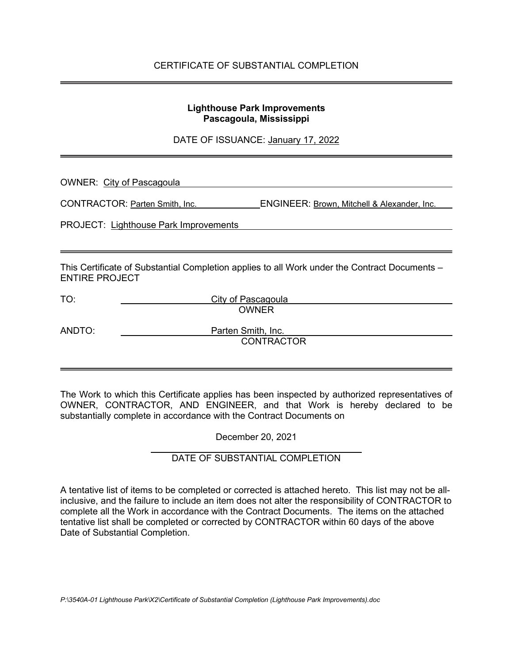### **Lighthouse Park Improvements Pascagoula, Mississippi**

DATE OF ISSUANCE: January 17, 2022

| <b>OWNER: City of Pascagoula</b>             |                                                                                               |
|----------------------------------------------|-----------------------------------------------------------------------------------------------|
|                                              | CONTRACTOR: Parten Smith, Inc.<br><b>ENGINEER: Brown, Mitchell &amp; Alexander, Inc.</b>      |
| <b>PROJECT: Lighthouse Park Improvements</b> |                                                                                               |
|                                              |                                                                                               |
| <b>ENTIRE PROJECT</b>                        | This Certificate of Substantial Completion applies to all Work under the Contract Documents – |
| TO:                                          | City of Pascagoula                                                                            |
|                                              | <b>OWNER</b>                                                                                  |
| ANDTO:                                       | Parten Smith, Inc.<br><b>CONTRACTOR</b>                                                       |

The Work to which this Certificate applies has been inspected by authorized representatives of OWNER, CONTRACTOR, AND ENGINEER, and that Work is hereby declared to be substantially complete in accordance with the Contract Documents on

December 20, 2021

### DATE OF SUBSTANTIAL COMPLETION

A tentative list of items to be completed or corrected is attached hereto. This list may not be allinclusive, and the failure to include an item does not alter the responsibility of CONTRACTOR to complete all the Work in accordance with the Contract Documents. The items on the attached tentative list shall be completed or corrected by CONTRACTOR within 60 days of the above Date of Substantial Completion.

j.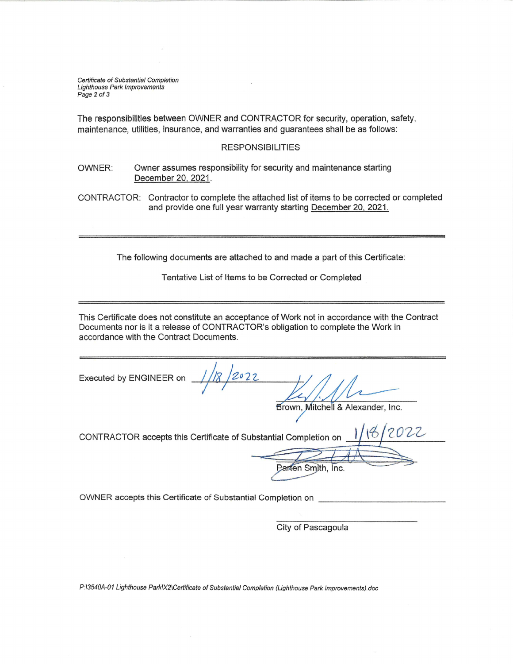Certificate of Substantial Completion **Lighthouse Park Improvements** Page 2 of 3

The responsibilities between OWNER and CONTRACTOR for security, operation, safety, maintenance, utilities, insurance, and warranties and guarantees shall be as follows:

#### **RESPONSIBILITIES**

Owner assumes responsibility for security and maintenance starting OWNER: December 20, 2021.

CONTRACTOR: Contractor to complete the attached list of items to be corrected or completed and provide one full year warranty starting December 20, 2021.

The following documents are attached to and made a part of this Certificate:

Tentative List of Items to be Corrected or Completed

This Certificate does not constitute an acceptance of Work not in accordance with the Contract Documents nor is it a release of CONTRACTOR's obligation to complete the Work in accordance with the Contract Documents.

Executed by ENGINEER on

Brown, Mitchell & Alexander, Inc.

CONTRACTOR accepts this Certificate of Substantial Completion on

OWNER accepts this Certificate of Substantial Completion on

City of Pascagoula

Parten Smith, Inc.

P:\3540A-01 Lighthouse Park\X2\Certificate of Substantial Completion (Lighthouse Park Improvements).doc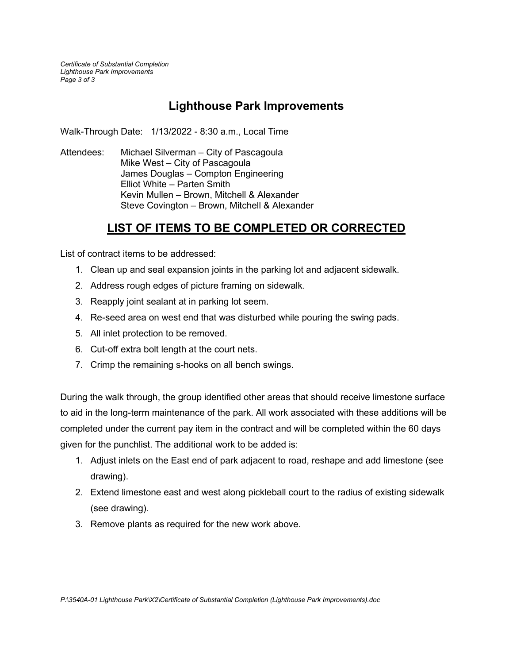*Certificate of Substantial Completion Lighthouse Park Improvements Page 3 of 3*

# **Lighthouse Park Improvements**

Walk-Through Date: 1/13/2022 - 8:30 a.m., Local Time

Attendees: Michael Silverman – City of Pascagoula Mike West – City of Pascagoula James Douglas – Compton Engineering Elliot White – Parten Smith Kevin Mullen – Brown, Mitchell & Alexander Steve Covington – Brown, Mitchell & Alexander

## **LIST OF ITEMS TO BE COMPLETED OR CORRECTED**

List of contract items to be addressed:

- 1. Clean up and seal expansion joints in the parking lot and adjacent sidewalk.
- 2. Address rough edges of picture framing on sidewalk.
- 3. Reapply joint sealant at in parking lot seem.
- 4. Re-seed area on west end that was disturbed while pouring the swing pads.
- 5. All inlet protection to be removed.
- 6. Cut-off extra bolt length at the court nets.
- 7. Crimp the remaining s-hooks on all bench swings.

During the walk through, the group identified other areas that should receive limestone surface to aid in the long-term maintenance of the park. All work associated with these additions will be completed under the current pay item in the contract and will be completed within the 60 days given for the punchlist. The additional work to be added is:

- 1. Adjust inlets on the East end of park adjacent to road, reshape and add limestone (see drawing).
- 2. Extend limestone east and west along pickleball court to the radius of existing sidewalk (see drawing).
- 3. Remove plants as required for the new work above.